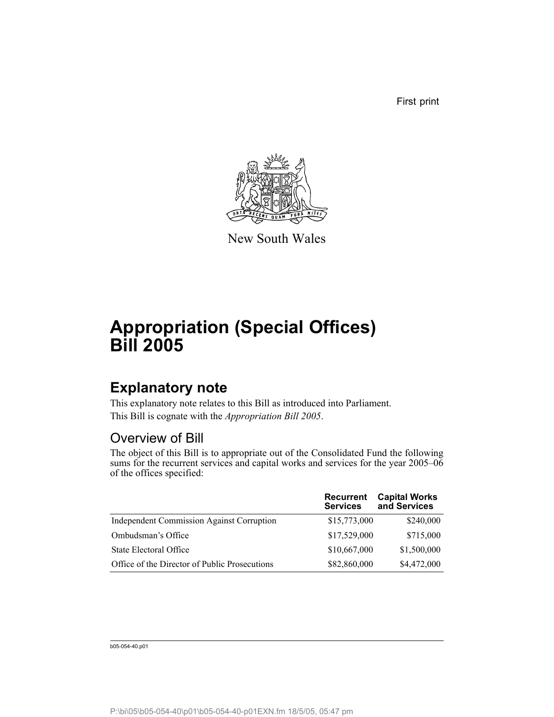First print



New South Wales

# **Appropriation (Special Offices) Bill 2005**

## **Explanatory note**

This explanatory note relates to this Bill as introduced into Parliament. This Bill is cognate with the *Appropriation Bill 2005*.

## Overview of Bill

The object of this Bill is to appropriate out of the Consolidated Fund the following sums for the recurrent services and capital works and services for the year 2005–06 of the offices specified:

|                                                  | <b>Recurrent</b><br><b>Services</b> | <b>Capital Works</b><br>and Services |
|--------------------------------------------------|-------------------------------------|--------------------------------------|
| <b>Independent Commission Against Corruption</b> | \$15,773,000                        | \$240,000                            |
| Ombudsman's Office                               | \$17,529,000                        | \$715,000                            |
| State Electoral Office                           | \$10,667,000                        | \$1,500,000                          |
| Office of the Director of Public Prosecutions    | \$82,860,000                        | \$4,472,000                          |

b05-054-40.p01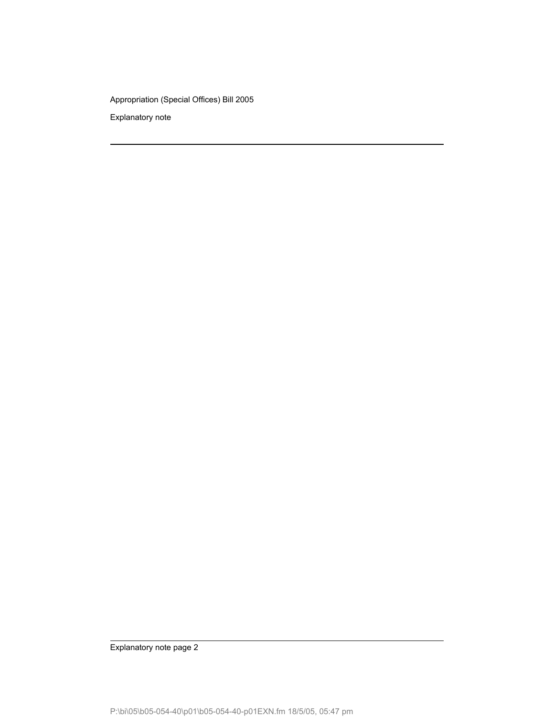Appropriation (Special Offices) Bill 2005

Explanatory note

Explanatory note page 2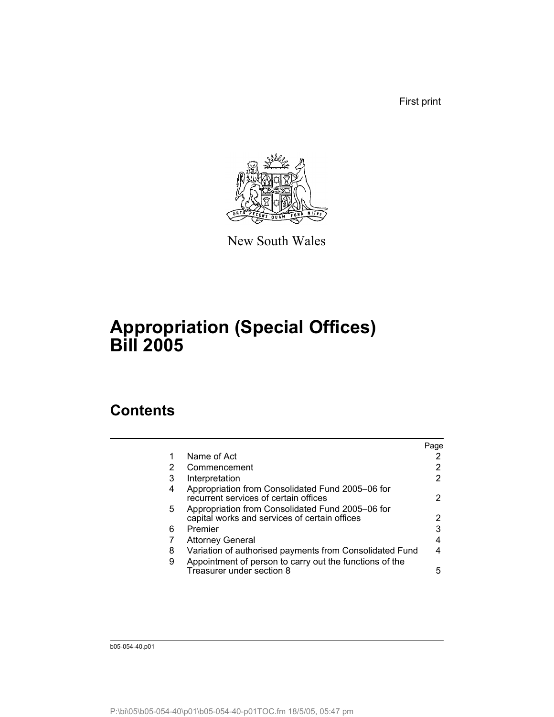First print



New South Wales

# **Appropriation (Special Offices) Bill 2005**

## **Contents**

|   |                                                                                                   | Page |
|---|---------------------------------------------------------------------------------------------------|------|
| 1 | Name of Act                                                                                       |      |
| 2 | Commencement                                                                                      | 2    |
| 3 | Interpretation                                                                                    | 2    |
| 4 | Appropriation from Consolidated Fund 2005–06 for<br>recurrent services of certain offices         | 2    |
| 5 | Appropriation from Consolidated Fund 2005–06 for<br>capital works and services of certain offices | 2    |
| 6 | Premier                                                                                           | 3    |
|   | <b>Attorney General</b>                                                                           | 4    |
| 8 | Variation of authorised payments from Consolidated Fund                                           |      |
| 9 | Appointment of person to carry out the functions of the<br>Treasurer under section 8              | 5    |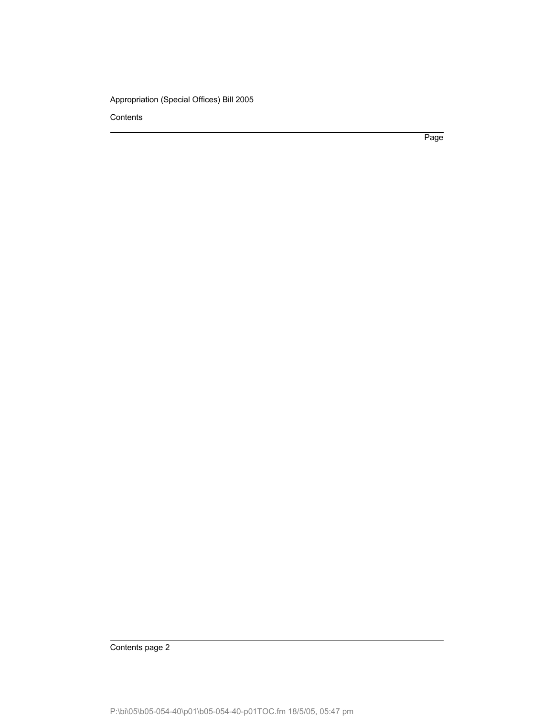Appropriation (Special Offices) Bill 2005

**Contents** 

Page

Contents page 2

P:\bi\05\b05-054-40\p01\b05-054-40-p01TOC.fm 18/5/05, 05:47 pm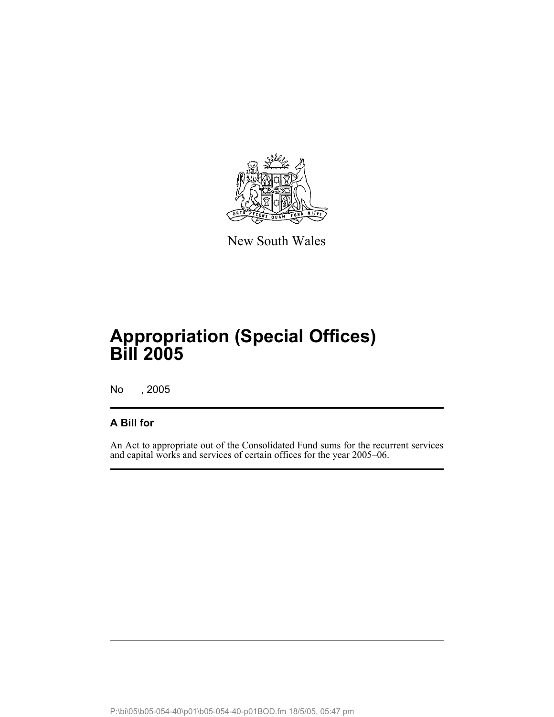

New South Wales

# **Appropriation (Special Offices) Bill 2005**

No , 2005

## **A Bill for**

An Act to appropriate out of the Consolidated Fund sums for the recurrent services and capital works and services of certain offices for the year 2005–06.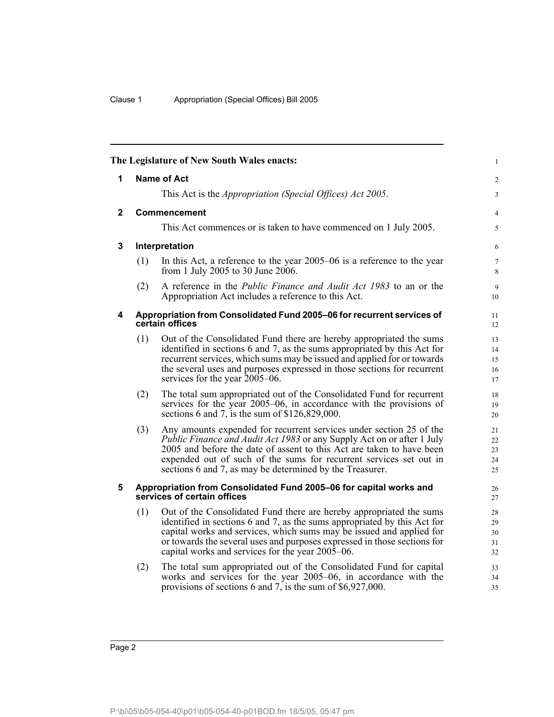<span id="page-5-3"></span><span id="page-5-2"></span><span id="page-5-1"></span><span id="page-5-0"></span>

|              |     | The Legislature of New South Wales enacts:                                                                                                                                                                                                                                                                                                                            | $\mathbf{1}$               |
|--------------|-----|-----------------------------------------------------------------------------------------------------------------------------------------------------------------------------------------------------------------------------------------------------------------------------------------------------------------------------------------------------------------------|----------------------------|
| 1            |     | <b>Name of Act</b>                                                                                                                                                                                                                                                                                                                                                    | $\overline{2}$             |
|              |     | This Act is the <i>Appropriation (Special Offices) Act 2005</i> .                                                                                                                                                                                                                                                                                                     | 3                          |
| $\mathbf{2}$ |     | <b>Commencement</b>                                                                                                                                                                                                                                                                                                                                                   | $\overline{4}$             |
|              |     | This Act commences or is taken to have commenced on 1 July 2005.                                                                                                                                                                                                                                                                                                      | 5                          |
| $\mathbf{3}$ |     | Interpretation                                                                                                                                                                                                                                                                                                                                                        | 6                          |
|              | (1) | In this Act, a reference to the year 2005–06 is a reference to the year<br>from 1 July 2005 to 30 June 2006.                                                                                                                                                                                                                                                          | $\tau$<br>8                |
|              | (2) | A reference in the <i>Public Finance and Audit Act 1983</i> to an or the<br>Appropriation Act includes a reference to this Act.                                                                                                                                                                                                                                       | 9<br>10                    |
| 4            |     | Appropriation from Consolidated Fund 2005-06 for recurrent services of<br>certain offices                                                                                                                                                                                                                                                                             | 11<br>12                   |
|              | (1) | Out of the Consolidated Fund there are hereby appropriated the sums<br>identified in sections 6 and 7, as the sums appropriated by this Act for<br>recurrent services, which sums may be issued and applied for or towards<br>the several uses and purposes expressed in those sections for recurrent<br>services for the year $\overline{2005}$ –06.                 | 13<br>14<br>15<br>16<br>17 |
|              | (2) | The total sum appropriated out of the Consolidated Fund for recurrent<br>services for the year 2005–06, in accordance with the provisions of<br>sections 6 and 7, is the sum of $$126,829,000$ .                                                                                                                                                                      | 18<br>19<br>20             |
|              | (3) | Any amounts expended for recurrent services under section 25 of the<br>Public Finance and Audit Act 1983 or any Supply Act on or after 1 July<br>2005 and before the date of assent to this Act are taken to have been<br>expended out of such of the sums for recurrent services set out in<br>sections 6 and 7, as may be determined by the Treasurer.              | 21<br>22<br>23<br>24<br>25 |
| 5            |     | Appropriation from Consolidated Fund 2005-06 for capital works and<br>services of certain offices                                                                                                                                                                                                                                                                     | 26<br>27                   |
|              | (1) | Out of the Consolidated Fund there are hereby appropriated the sums<br>identified in sections 6 and 7, as the sums appropriated by this Act for<br>capital works and services, which sums may be issued and applied for<br>or towards the several uses and purposes expressed in those sections for<br>capital works and services for the year $200\overline{5}$ –06. | 28<br>29<br>30<br>31<br>32 |
|              | (2) | The total sum appropriated out of the Consolidated Fund for capital<br>works and services for the year 2005–06, in accordance with the<br>provisions of sections 6 and 7, is the sum of \$6,927,000.                                                                                                                                                                  | 33<br>34<br>35             |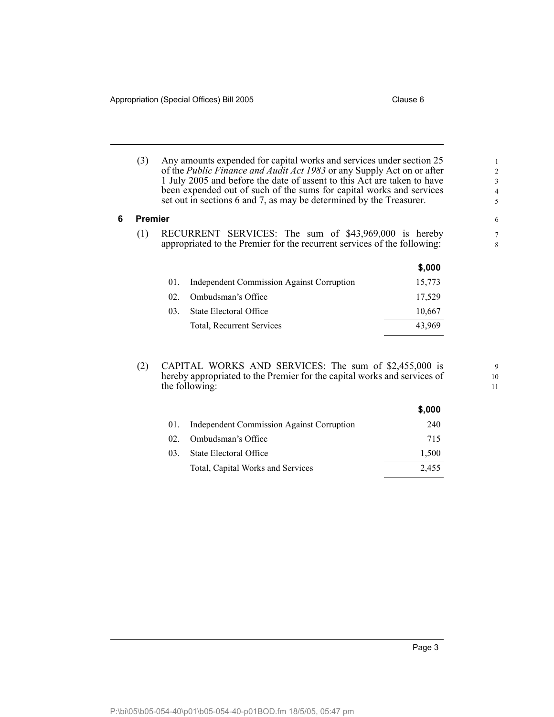**\$,000**

(3) Any amounts expended for capital works and services under section 25 of the *Public Finance and Audit Act 1983* or any Supply Act on or after 1 July 2005 and before the date of assent to this Act are taken to have been expended out of such of the sums for capital works and services set out in sections 6 and 7, as may be determined by the Treasurer.

### <span id="page-6-0"></span>**6 Premier**

(1) RECURRENT SERVICES: The sum of \$43,969,000 is hereby appropriated to the Premier for the recurrent services of the following:

|                 |                                           | $\mathbf{v}$ , v v v |
|-----------------|-------------------------------------------|----------------------|
| 01.             | Independent Commission Against Corruption | 15,773               |
|                 | 02. Ombudsman's Office                    | 17,529               |
| 03 <sub>1</sub> | State Electoral Office                    | 10,667               |
|                 | Total, Recurrent Services                 | 43.969               |
|                 |                                           |                      |

## (2) CAPITAL WORKS AND SERVICES: The sum of \$2,455,000 is hereby appropriated to the Premier for the capital works and services of the following:

|  | ١ |
|--|---|
|  | I |
|  |   |

6 7 8

|     |                                               | \$,000 |
|-----|-----------------------------------------------|--------|
|     | 01. Independent Commission Against Corruption | 240    |
|     | 02. Ombudsman's Office                        | 715    |
| 03. | State Electoral Office                        | 1,500  |
|     | Total, Capital Works and Services             | 2.455  |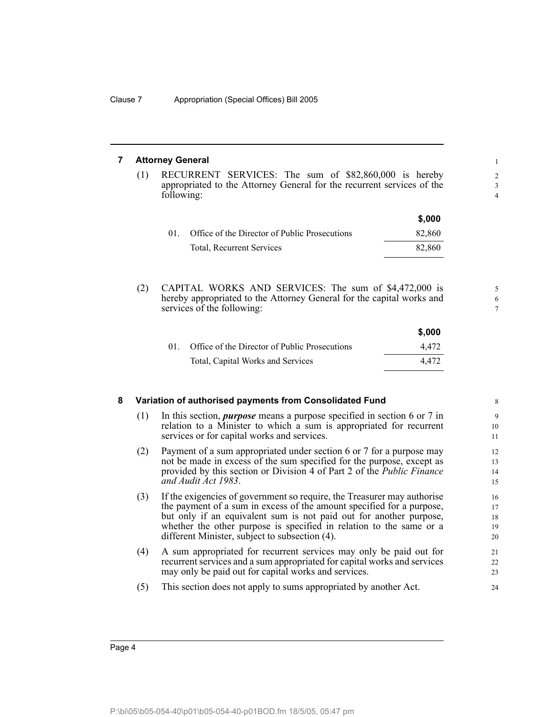## <span id="page-7-0"></span>**7 Attorney General**

(1) RECURRENT SERVICES: The sum of \$82,860,000 is hereby appropriated to the Attorney General for the recurrent services of the following:

|      |                                               | \$.000 |
|------|-----------------------------------------------|--------|
| 01 - | Office of the Director of Public Prosecutions | 82.860 |
|      | <b>Total, Recurrent Services</b>              | 82.860 |

5 6 7

(2) CAPITAL WORKS AND SERVICES: The sum of \$4,472,000 is hereby appropriated to the Attorney General for the capital works and services of the following:

|    |                                               | \$,000 |
|----|-----------------------------------------------|--------|
| 01 | Office of the Director of Public Prosecutions | 4.472  |
|    | Total, Capital Works and Services             | 4.472  |

### <span id="page-7-1"></span>**8 Variation of authorised payments from Consolidated Fund**

- (1) In this section, *purpose* means a purpose specified in section 6 or 7 in relation to a Minister to which a sum is appropriated for recurrent services or for capital works and services.
- (2) Payment of a sum appropriated under section 6 or 7 for a purpose may not be made in excess of the sum specified for the purpose, except as provided by this section or Division 4 of Part 2 of the *Public Finance and Audit Act 1983*.
- (3) If the exigencies of government so require, the Treasurer may authorise the payment of a sum in excess of the amount specified for a purpose, but only if an equivalent sum is not paid out for another purpose, whether the other purpose is specified in relation to the same or a different Minister, subject to subsection (4).
- (4) A sum appropriated for recurrent services may only be paid out for recurrent services and a sum appropriated for capital works and services may only be paid out for capital works and services.
- (5) This section does not apply to sums appropriated by another Act.